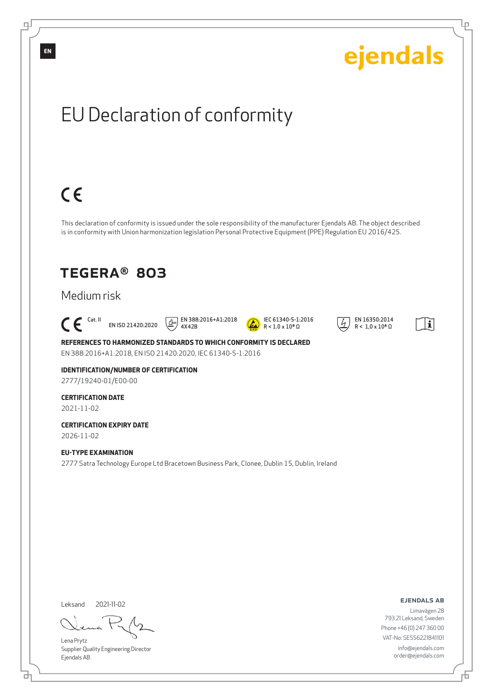

Lena Prytz

Supplier Quality Engineering Director Ejendals AB

đ

舌

Phone +46 (0) 247 360 00 VAT-No: SE556221841101 info@ejendals.com order@ejendals.com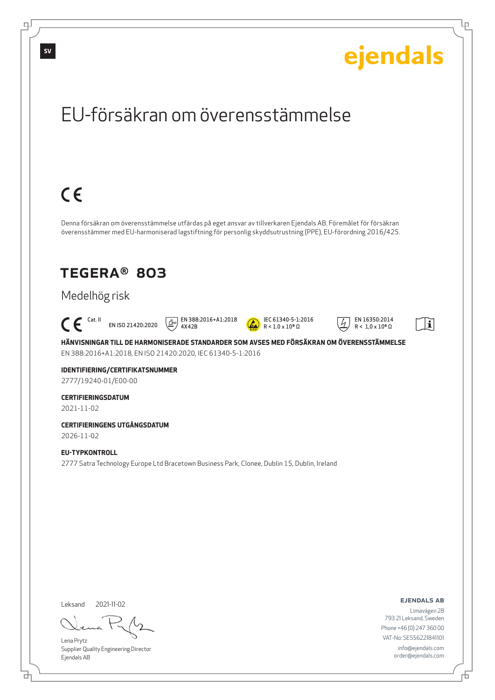

Lena Prytz

டி

Supplier Quality Engineering Director Ejendals AB

<u>다</u>

793 21 Leksand, Sweden Phone +46 (0) 247 360 00 VAT-No: SE556221841101 info@ejendals.com order@ejendals.com Ļμ

舌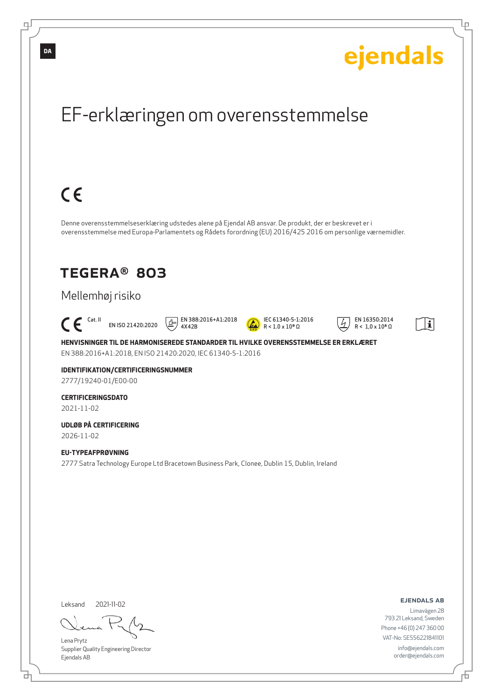

브

Đ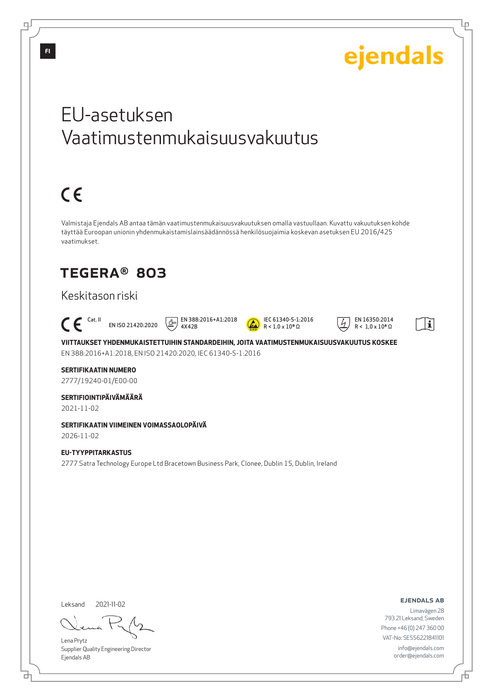

Leksand 2021-11-02

브

Lena Prytz Supplier Quality Engineering Director Ejendals AB

ejendals ab

Limavägen 28 793 21 Leksand, Sweden Phone +46 (0) 247 360 00 VAT-No: SE556221841101 info@ejendals.com order@ejendals.com

Đ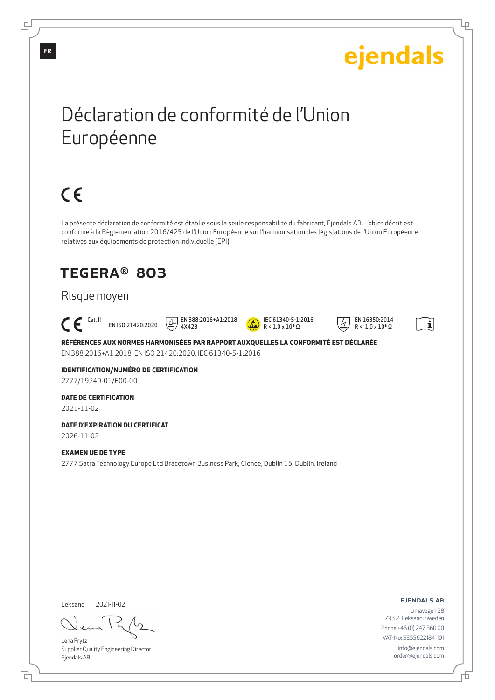# ejendals

Ļμ

## Déclaration de conformité de l'Union Européenne

# $C \in$

La présente déclaration de conformité est établie sous la seule responsabilité du fabricant, Ejendals AB. L'objet décrit est conforme à la Règlementation 2016/425 de l'Union Européenne sur l'harmonisation des législations de l'Union Européenne relatives aux équipements de protection individuelle (EPI).

## TEGERA® 803

### Risque moyen

#### $\Gamma$  Cat. II EN ISO 21420:2020 4X42B

EN 388:2016+A1:2018



 EN 16350:2014  $R < 1.0 \times 10^8 \Omega$ 



**RÉFÉRENCES AUX NORMES HARMONISÉES PAR RAPPORT AUXQUELLES LA CONFORMITÉ EST DÉCLARÉE** EN 388:2016+A1:2018, EN ISO 21420:2020, IEC 61340-5-1:2016

#### **IDENTIFICATION/NUMÉRO DE CERTIFICATION** 2777/19240-01/E00-00

## **DATE DE CERTIFICATION**

2021-11-02

### **DATE D'EXPIRATION DU CERTIFICAT** 2026-11-02

#### **EXAMEN UE DE TYPE**

2777 Satra Technology Europe Ltd Bracetown Business Park, Clonee, Dublin 15, Dublin, Ireland

Leksand 2021-11-02

Lena Prytz Supplier Quality Engineering Director Ejendals AB

ejendals ab

Đ

Limavägen 28 793 21 Leksand, Sweden Phone +46 (0) 247 360 00 VAT-No: SE556221841101 info@ejendals.com order@ejendals.com

டி

**FR**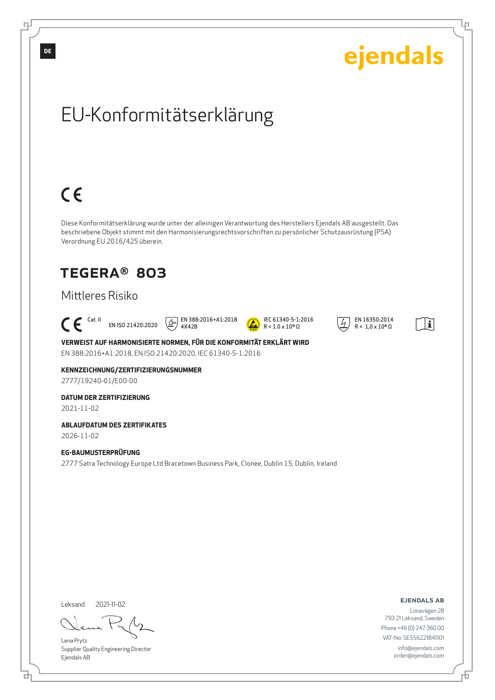

Lena Prytz

Supplier Quality Engineering Director Ejendals AB

<u>다</u>

舌

VAT-No: SE556221841101 info@ejendals.com order@ejendals.com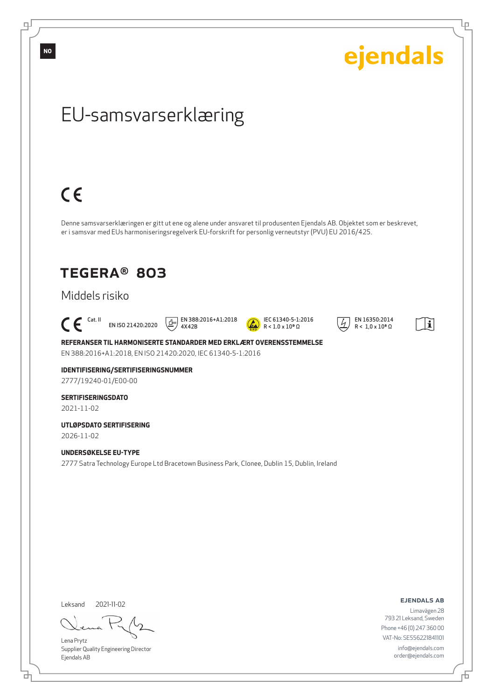**NO**

டி

ejendals

Ļμ

## EU-samsvarserklæring

# $C \in$

Denne samsvarserklæringen er gitt ut ene og alene under ansvaret til produsenten Ejendals AB. Objektet som er beskrevet, er i samsvar med EUs harmoniseringsregelverk EU-forskrift for personlig verneutstyr (PVU) EU 2016/425.

## TEGERA® 803

## Middels risiko

### $\mathsf{C}\boldsymbol{\mathsf{F}}$  cat. II EN ISO 21420:2020

 $\boxed{1}$  EN 388:2016+A1:2018 4X42B



 EN 16350:2014  $R < 1.0 \times 10^8 \Omega$ 



**REFERANSER TIL HARMONISERTE STANDARDER MED ERKLÆRT OVERENSSTEMMELSE** EN 388:2016+A1:2018, EN ISO 21420:2020, IEC 61340-5-1:2016

### **IDENTIFISERING/SERTIFISERINGSNUMMER** 2777/19240-01/E00-00

#### **SERTIFISERINGSDATO** 2021-11-02

**UTLØPSDATO SERTIFISERING**

2026-11-02

### **UNDERSØKELSE EU-TYPE**

2777 Satra Technology Europe Ltd Bracetown Business Park, Clonee, Dublin 15, Dublin, Ireland

Leksand 2021-11-02

<u>다</u>

Lena Prytz Supplier Quality Engineering Director Ejendals AB

ejendals ab

Limavägen 28 793 21 Leksand, Sweden Phone +46 (0) 247 360 00 VAT-No: SE556221841101 info@ejendals.com order@ejendals.com

舌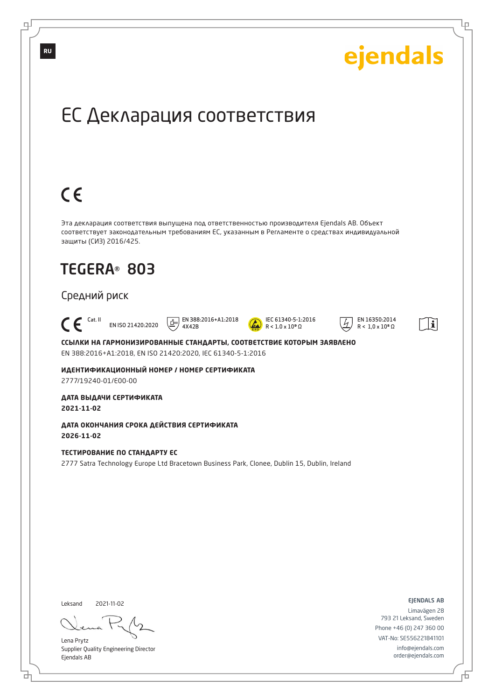

브

舌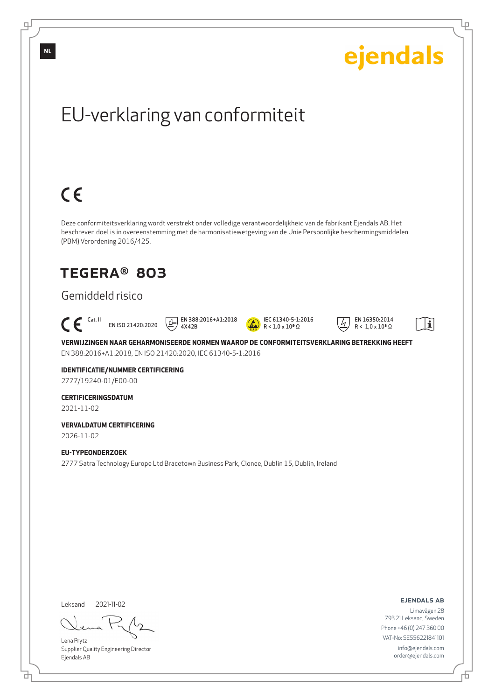

Lena Prytz Supplier Quality Engineering Director Ejendals AB

<u>다</u>

டி

Đ

Ļμ

info@ejendals.com order@ejendals.com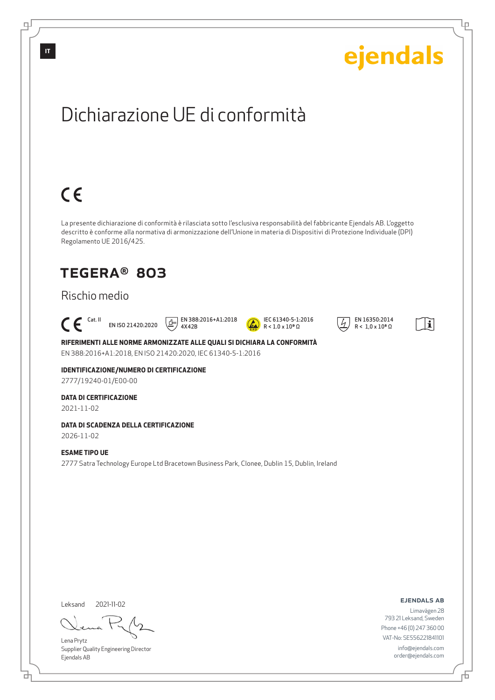![](_page_9_Picture_0.jpeg)

Lena Prytz Supplier Quality Engineering Director Ejendals AB

<u>다</u>

ejendals ab

Limavägen 28 793 21 Leksand, Sweden Phone +46 (0) 247 360 00 VAT-No: SE556221841101 info@ejendals.com order@ejendals.com

舌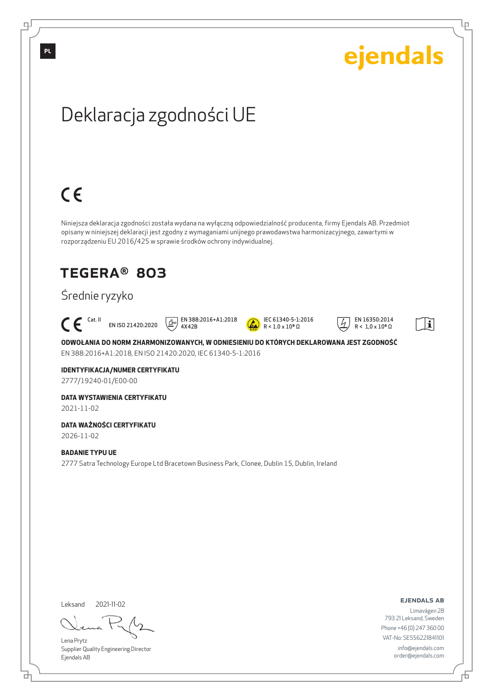![](_page_10_Picture_0.jpeg)

Lena Prytz Supplier Quality Engineering Director Ejendals AB

<u>다</u>

Ļμ

Limavägen 28 793 21 Leksand, Sweden Phone +46 (0) 247 360 00 VAT-No: SE556221841101 info@ejendals.com order@ejendals.com

Đ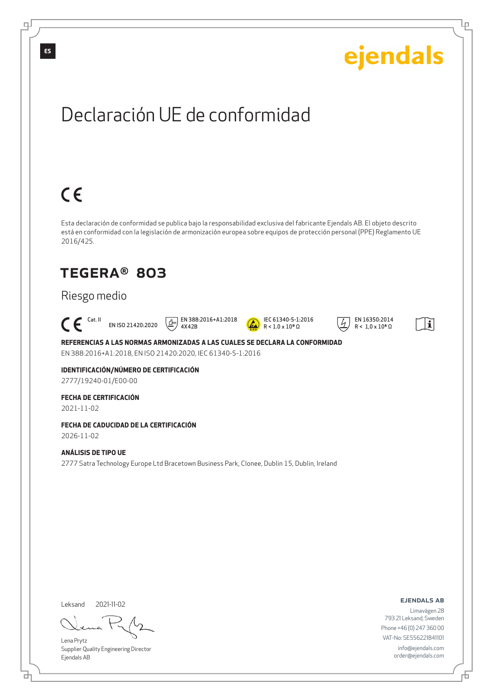![](_page_11_Picture_0.jpeg)

Leksand 2021-11-02

đ

Lena Prytz Supplier Quality Engineering Director Ejendals AB

ejendals ab

Đ

Ļμ

Limavägen 28 793 21 Leksand, Sweden Phone +46 (0) 247 360 00 VAT-No: SE556221841101 info@ejendals.com order@ejendals.com

டி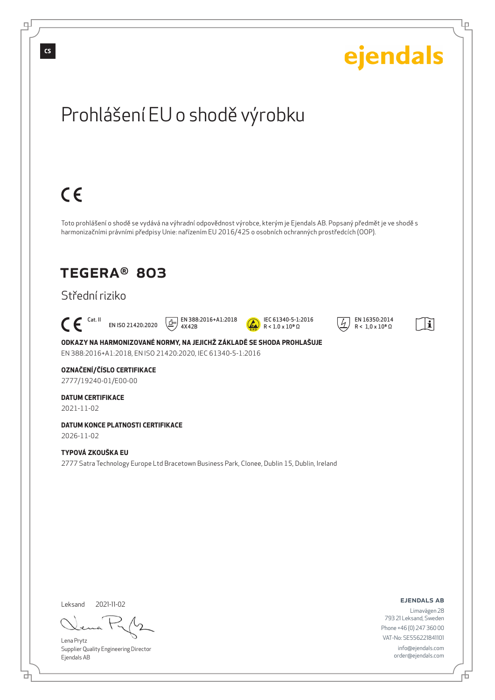![](_page_12_Picture_0.jpeg)

đ

舌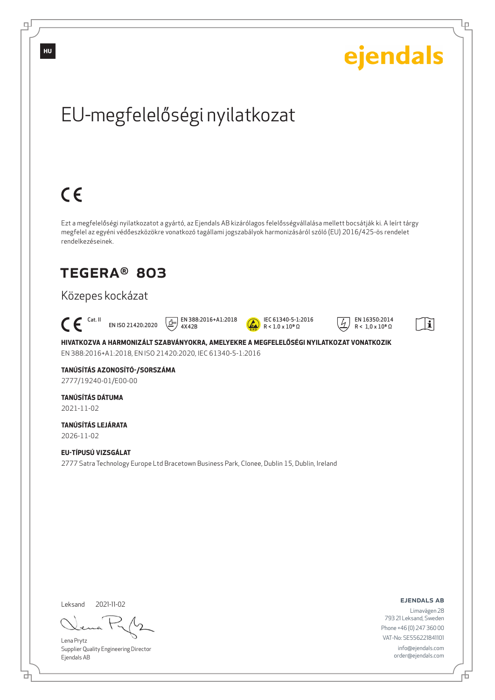![](_page_13_Picture_0.jpeg)

Lena Prytz Supplier Quality Engineering Director Ejendals AB

<u>다</u>

டி

Đ

Ļμ

info@ejendals.com order@ejendals.com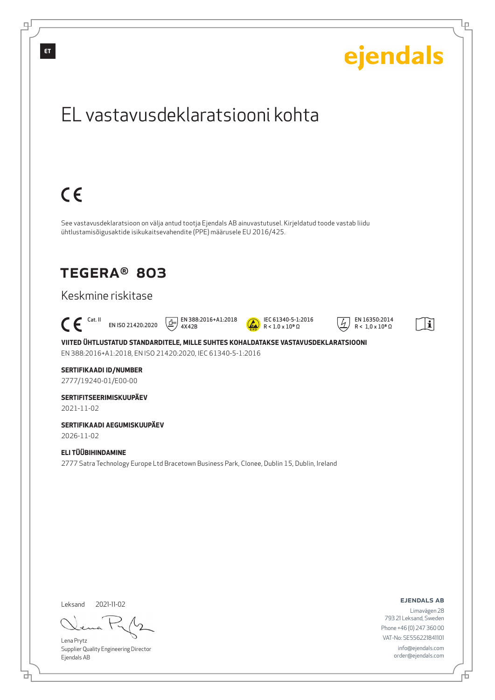![](_page_14_Picture_0.jpeg)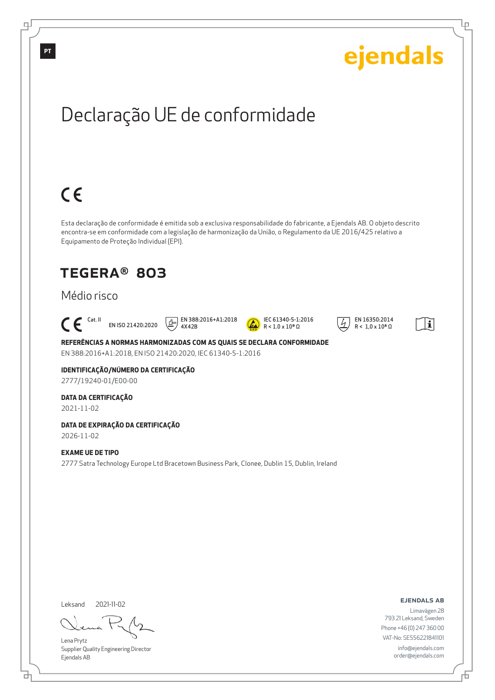![](_page_15_Picture_0.jpeg)

<u>다</u>

Đ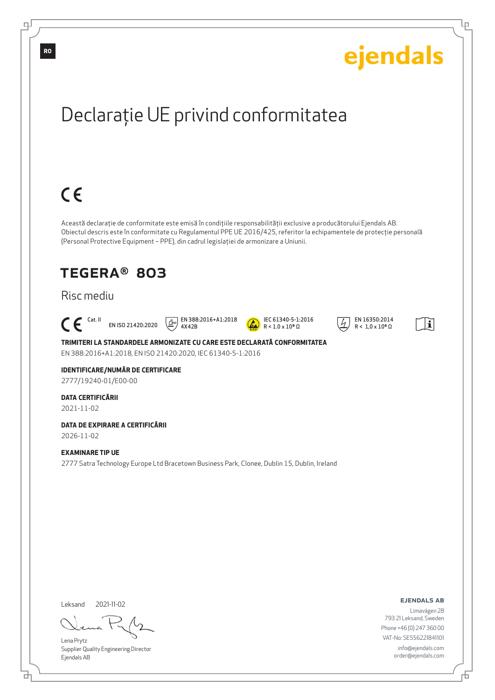![](_page_16_Picture_0.jpeg)

Lena Prytz Supplier Quality Engineering Director Ejendals AB

브

Phone +46 (0) 247 360 00 VAT-No: SE556221841101

> info@ejendals.com order@ejendals.com

டி

Đ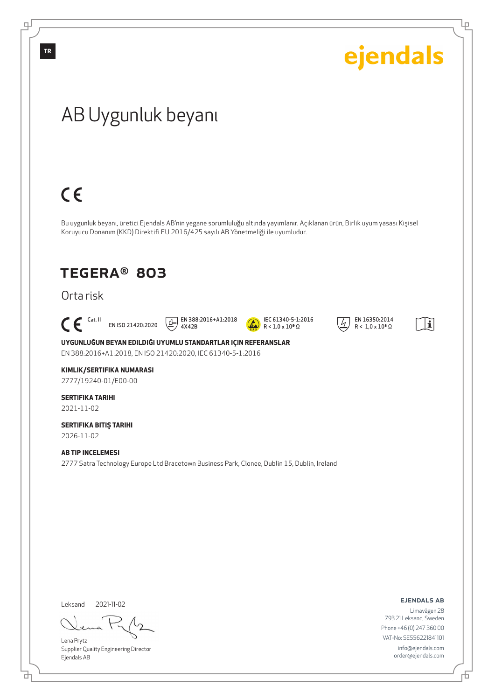![](_page_17_Picture_0.jpeg)

đ

டி

Lena Prytz Supplier Quality Engineering Director Ejendals AB

ejendals ab

Ļμ

Limavägen 28 793 21 Leksand, Sweden Phone +46 (0) 247 360 00 VAT-No: SE556221841101 info@ejendals.com order@ejendals.com

舌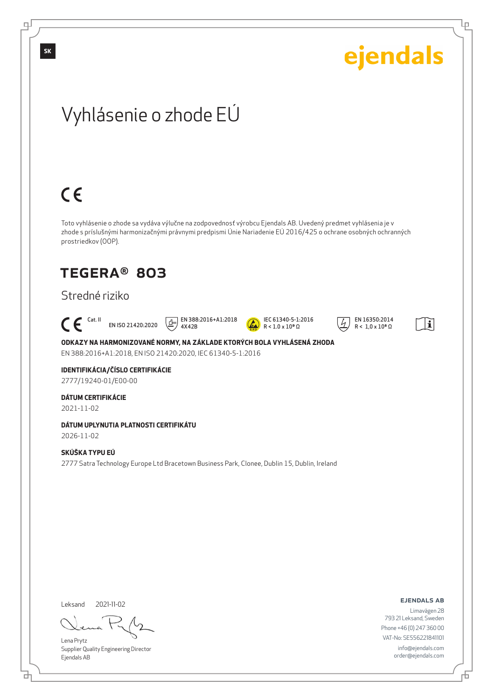![](_page_18_Picture_0.jpeg)

Leksand 2021-11-02

<u>다</u>

Lena Prytz Supplier Quality Engineering Director Ejendals AB

ejendals ab

舌

Limavägen 28 793 21 Leksand, Sweden Phone +46 (0) 247 360 00 VAT-No: SE556221841101 info@ejendals.com order@ejendals.com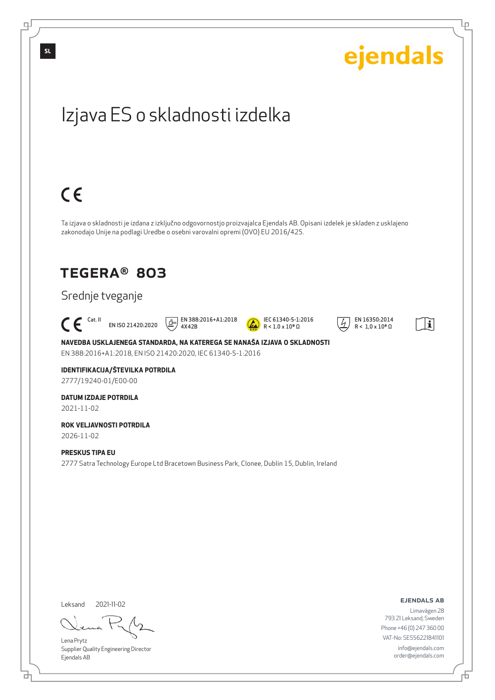![](_page_19_Picture_0.jpeg)

цſ

<u>다</u>

舌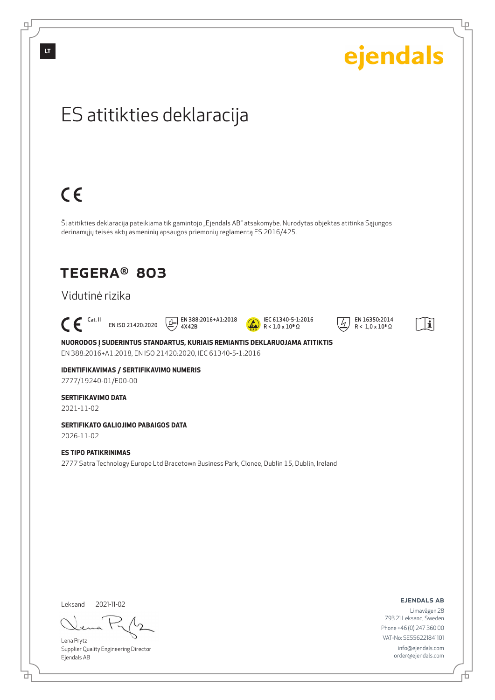| ejendals                                                                                                                                                                                                                                  |
|-------------------------------------------------------------------------------------------------------------------------------------------------------------------------------------------------------------------------------------------|
| ES atitikties deklaracija                                                                                                                                                                                                                 |
| $C \in$                                                                                                                                                                                                                                   |
| Ši atitikties deklaracija pateikiama tik gamintojo "Ejendals AB" atsakomybe. Nurodytas objektas atitinka Sąjungos<br>derinamųjų teisės aktų asmeninių apsaugos priemonių reglamentą ES 2016/425.                                          |
| <b>TEGERA® 803</b>                                                                                                                                                                                                                        |
| Vidutinė rizika                                                                                                                                                                                                                           |
| EN 388:2016+A1:2018<br>IEC 61340-5-1:2016<br>EN 16350:2014<br>$\mathsf{C} \in \mathsf{C}^{\mathsf{Cat},\,\mathsf{II}}$<br>(宁<br>$\mathbf i$<br>EN ISO 21420:2020<br>$R < 1.0 \times 10^9 \Omega$<br>$R < 1.0 \times 10^8 \Omega$<br>4X42B |

**NUORODOS Į SUDERINTUS STANDARTUS, KURIAIS REMIANTIS DEKLARUOJAMA ATITIKTIS** EN 388:2016+A1:2018, EN ISO 21420:2020, IEC 61340-5-1:2016

**IDENTIFIKAVIMAS / SERTIFIKAVIMO NUMERIS** 2777/19240-01/E00-00

## **SERTIFIKAVIMO DATA**

2021-11-02

**SERTIFIKATO GALIOJIMO PABAIGOS DATA** 2026-11-02

**ES TIPO PATIKRINIMAS** 2777 Satra Technology Europe Ltd Bracetown Business Park, Clonee, Dublin 15, Dublin, Ireland

Leksand 2021-11-02

Lena Prytz Supplier Quality Engineering Director Ejendals AB

ejendals ab

舌

里

Limavägen 28 793 21 Leksand, Sweden Phone +46 (0) 247 360 00 VAT-No: SE556221841101 info@ejendals.com order@ejendals.com

ᄘ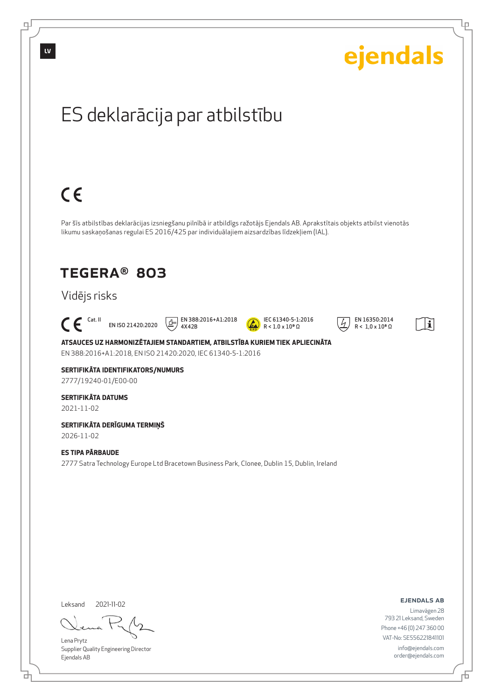![](_page_21_Picture_0.jpeg)

цſ

Đ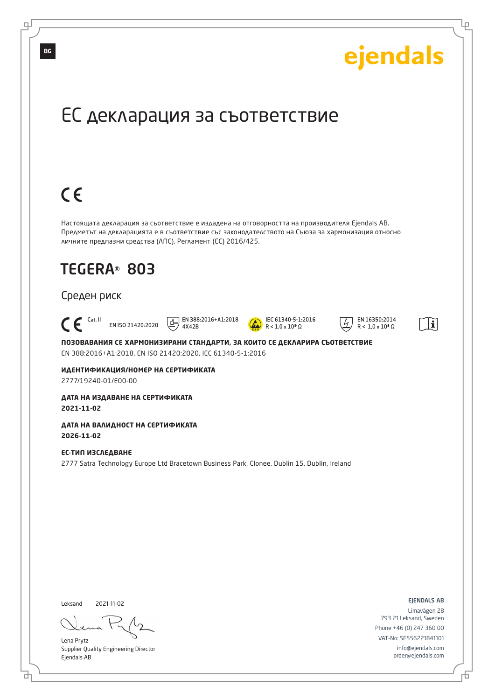![](_page_22_Picture_0.jpeg)

Lena Prytz Supplier Quality Engineering Director Ejendals AB

브

டி

info@ejendals.com

order@ejendals.com

Đ